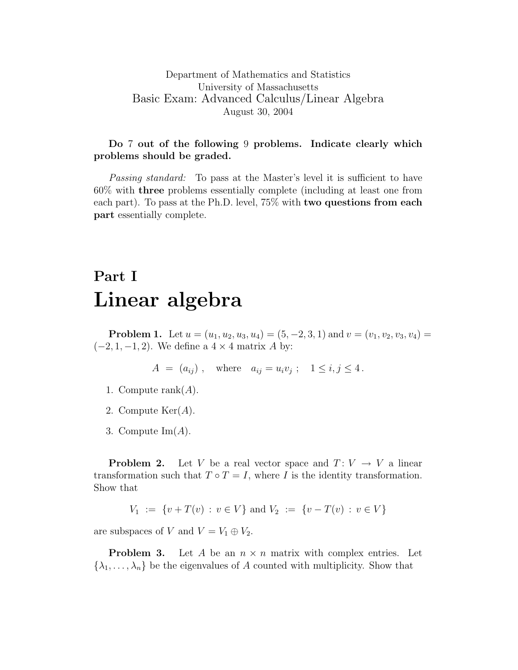## Do 7 out of the following 9 problems. Indicate clearly which problems should be graded.

Passing standard: To pass at the Master's level it is sufficient to have 60% with three problems essentially complete (including at least one from each part). To pass at the Ph.D. level, 75% with two questions from each part essentially complete.

## Part I Linear algebra

**Problem 1.** Let  $u = (u_1, u_2, u_3, u_4) = (5, -2, 3, 1)$  and  $v = (v_1, v_2, v_3, v_4) =$  $(-2, 1, -1, 2)$ . We define a  $4 \times 4$  matrix A by:

$$
A = (a_{ij}),
$$
 where  $a_{ij} = u_i v_j$ ;  $1 \le i, j \le 4$ .

- 1. Compute rank $(A)$ .
- 2. Compute  $\text{Ker}(A)$ .
- 3. Compute  $\text{Im}(A)$ .

**Problem 2.** Let V be a real vector space and  $T: V \to V$  a linear transformation such that  $T \circ T = I$ , where I is the identity transformation. Show that

$$
V_1 := \{ v + T(v) : v \in V \} \text{ and } V_2 := \{ v - T(v) : v \in V \}
$$

are subspaces of V and  $V = V_1 \oplus V_2$ .

**Problem 3.** Let A be an  $n \times n$  matrix with complex entries. Let  $\{\lambda_1, \ldots, \lambda_n\}$  be the eigenvalues of A counted with multiplicity. Show that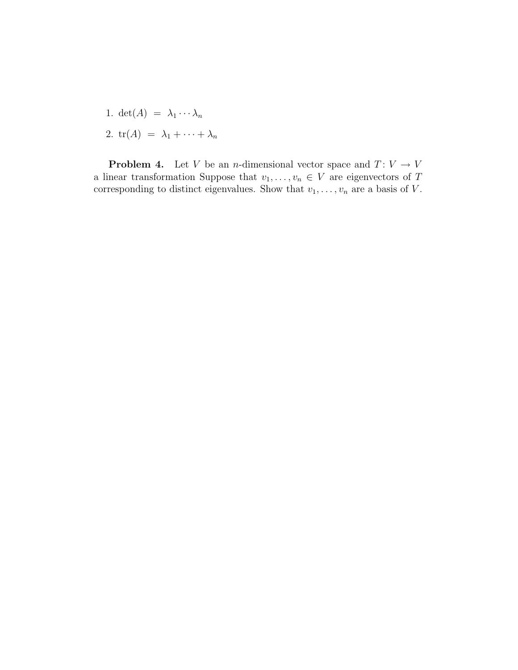- 1. det(A) =  $\lambda_1 \cdots \lambda_n$
- 2.  $tr(A) = \lambda_1 + \cdots + \lambda_n$

**Problem 4.** Let V be an *n*-dimensional vector space and  $T: V \to V$ a linear transformation Suppose that  $v_1, \ldots, v_n \in V$  are eigenvectors of  $T$ corresponding to distinct eigenvalues. Show that  $v_1, \ldots, v_n$  are a basis of V.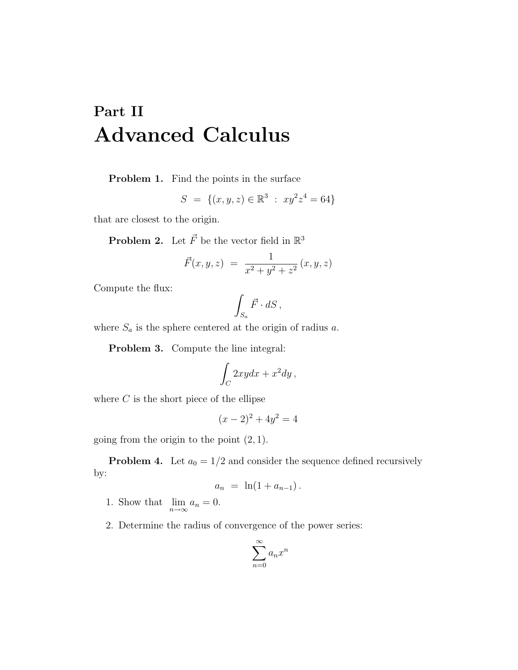## Part II Advanced Calculus

Problem 1. Find the points in the surface

$$
S = \{(x, y, z) \in \mathbb{R}^3 : xy^2 z^4 = 64\}
$$

that are closest to the origin.

**Problem 2.** Let  $\vec{F}$  be the vector field in  $\mathbb{R}^3$ 

$$
\vec{F}(x,y,z) = \frac{1}{x^2 + y^2 + z^2} (x, y, z)
$$

Compute the flux:

$$
\int_{S_a} \vec{F} \cdot dS \,,
$$

where  $S_a$  is the sphere centered at the origin of radius  $a$ .

Problem 3. Compute the line integral:

$$
\int_C 2xydx + x^2dy,
$$

where  $C$  is the short piece of the ellipse

$$
(x-2)^2 + 4y^2 = 4
$$

going from the origin to the point  $(2, 1)$ .

**Problem 4.** Let  $a_0 = 1/2$  and consider the sequence defined recursively by:

$$
a_n = \ln(1 + a_{n-1}).
$$

- 1. Show that  $\lim_{n\to\infty} a_n = 0$ .
- 2. Determine the radius of convergence of the power series:

$$
\sum_{n=0}^\infty a_n x^n
$$